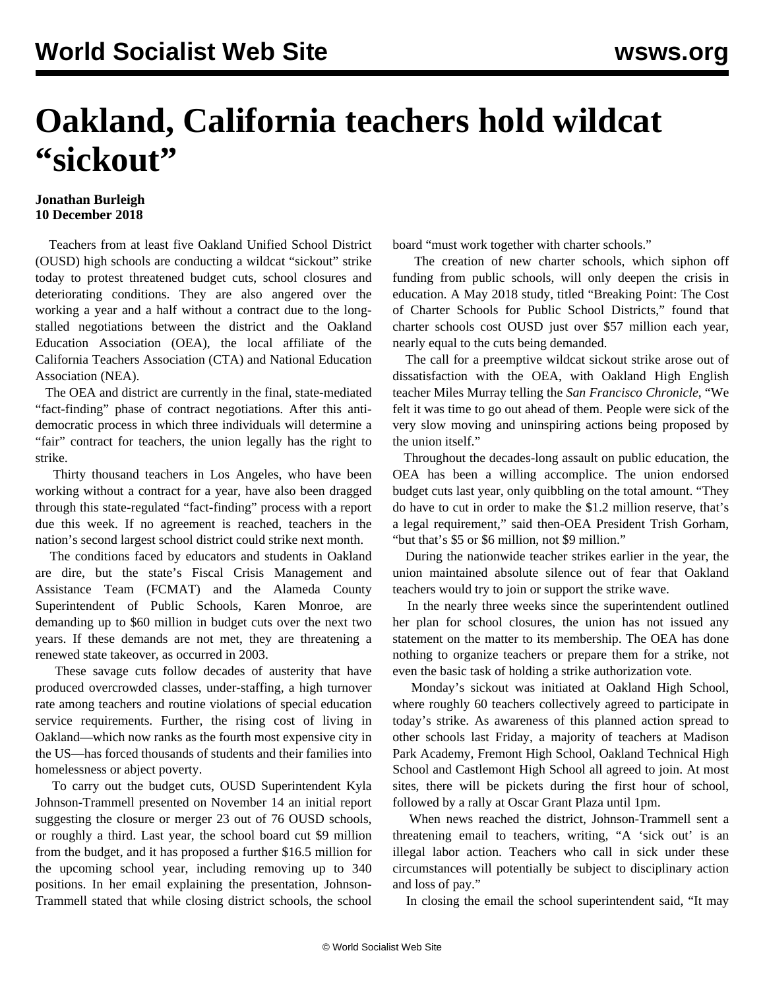## **Oakland, California teachers hold wildcat "sickout"**

## **Jonathan Burleigh 10 December 2018**

 Teachers from at least five Oakland Unified School District (OUSD) high schools are conducting a wildcat "sickout" strike today to protest threatened budget cuts, school closures and deteriorating conditions. They are also angered over the working a year and a half without a contract due to the longstalled negotiations between the district and the Oakland Education Association (OEA), the local affiliate of the California Teachers Association (CTA) and National Education Association (NEA).

 The OEA and district are currently in the final, state-mediated "fact-finding" phase of contract negotiations. After this antidemocratic process in which three individuals will determine a "fair" contract for teachers, the union legally has the right to strike.

 Thirty thousand teachers in Los Angeles, who have been working without a contract for a year, have also been dragged through this state-regulated "fact-finding" process with a report due this week. If no agreement is reached, teachers in the nation's second largest school district could strike next month.

 The conditions faced by educators and students in Oakland are dire, but the state's Fiscal Crisis Management and Assistance Team (FCMAT) and the Alameda County Superintendent of Public Schools, Karen Monroe, are demanding up to \$60 million in budget cuts over the next two years. If these demands are not met, they are threatening a renewed state takeover, as occurred in 2003.

 These savage cuts follow decades of austerity that have produced overcrowded classes, under-staffing, a high turnover rate among teachers and routine violations of special education service requirements. Further, the rising cost of living in Oakland—which now ranks as the fourth most expensive city in the US—has forced thousands of students and their families into homelessness or abject poverty.

 To carry out the budget cuts, OUSD Superintendent Kyla Johnson-Trammell presented on November 14 an initial report suggesting the closure or merger 23 out of 76 OUSD schools, or roughly a third. Last year, the school board cut \$9 million from the budget, and it has proposed a further \$16.5 million for the upcoming school year, including removing up to 340 positions. In her email explaining the presentation, Johnson-Trammell stated that while closing district schools, the school board "must work together with charter schools."

 The creation of new charter schools, which siphon off funding from public schools, will only deepen the crisis in education. A May 2018 study, titled "Breaking Point: The Cost of Charter Schools for Public School Districts," found that charter schools cost OUSD just over \$57 million each year, nearly equal to the cuts being demanded.

 The call for a preemptive wildcat sickout strike arose out of dissatisfaction with the OEA, with Oakland High English teacher Miles Murray telling the *San Francisco Chronicle*, "We felt it was time to go out ahead of them. People were sick of the very slow moving and uninspiring actions being proposed by the union itself."

 Throughout the decades-long assault on public education, the OEA has been a willing accomplice. The union endorsed budget cuts last year, only quibbling on the total amount. "They do have to cut in order to make the \$1.2 million reserve, that's a legal requirement," said then-OEA President Trish Gorham, "but that's \$5 or \$6 million, not \$9 million."

 During the nationwide teacher strikes earlier in the year, the union maintained absolute silence out of fear that Oakland teachers would try to join or support the strike wave.

 In the nearly three weeks since the superintendent outlined her plan for school closures, the union has not issued any statement on the matter to its membership. The OEA has done nothing to organize teachers or prepare them for a strike, not even the basic task of holding a strike authorization vote.

 Monday's sickout was initiated at Oakland High School, where roughly 60 teachers collectively agreed to participate in today's strike. As awareness of this planned action spread to other schools last Friday, a majority of teachers at Madison Park Academy, Fremont High School, Oakland Technical High School and Castlemont High School all agreed to join. At most sites, there will be pickets during the first hour of school, followed by a rally at Oscar Grant Plaza until 1pm.

 When news reached the district, Johnson-Trammell sent a threatening email to teachers, writing, "A 'sick out' is an illegal labor action. Teachers who call in sick under these circumstances will potentially be subject to disciplinary action and loss of pay."

In closing the email the school superintendent said, "It may